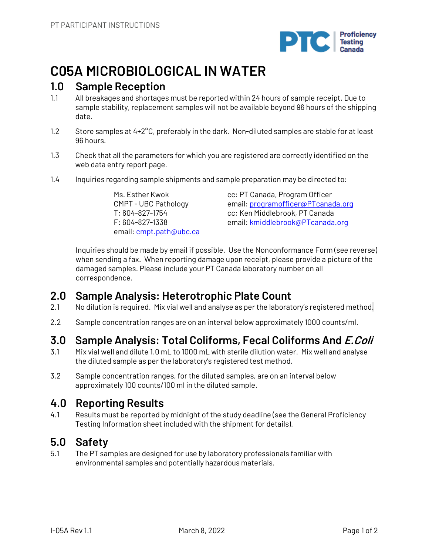

# **C05A MICROBIOLOGICAL IN WATER**

#### **1.0 Sample Reception**

- 1.1 All breakages and shortages must be reported within 24 hours of sample receipt. Due to sample stability, replacement samples will not be available beyond 96 hours of the shipping date.
- 1.2 Store samples at 4+2<sup>o</sup>C, preferably in the dark. Non-diluted samples are stable for at least 96 hours.
- 1.3 Check that all the parameters for which you are registered are correctly identified on the web data entry report page.
- 1.4 Inquiries regarding sample shipments and sample preparation may be directed to:

Ms. Esther Kwok CMPT - UBC Pathology T: 604-827-1754 F: 604-827-1338 email: cmpt.path@ubc.ca cc: PT Canada, Program Officer email: programofficer@PTcanada.org cc: Ken Middlebrook, PT Canada email: kmiddlebrook@PTcanada.org

Inquiries should be made by email if possible. Use the Nonconformance Form (see reverse) when sending a fax. When reporting damage upon receipt, please provide a picture of the damaged samples. Please include your PT Canada laboratory number on all correspondence.

#### **2.0 Sample Analysis: Heterotrophic Plate Count**

- 2.1 No dilution is required. Mix vial well and analyse as per the laboratory's registered method.
- 2.2 Sample concentration ranges are on an interval below approximately 1000 counts/ml.

## **3.0 Sample Analysis: Total Coliforms, Fecal Coliforms And E.Coli**

- 3.1 Mix vial well and dilute 1.0 mL to 1000 mL with sterile dilution water. Mix well and analyse the diluted sample as per the laboratory's registered test method.
- 3.2 Sample concentration ranges, for the diluted samples, are on an interval below approximately 100 counts/100 ml in the diluted sample.

#### **4.0 Reporting Results**

4.1 Results must be reported by midnight of the study deadline (see the General Proficiency Testing Information sheet included with the shipment for details).

## **5.0 Safety**

5.1 The PT samples are designed for use by laboratory professionals familiar with environmental samples and potentially hazardous materials.